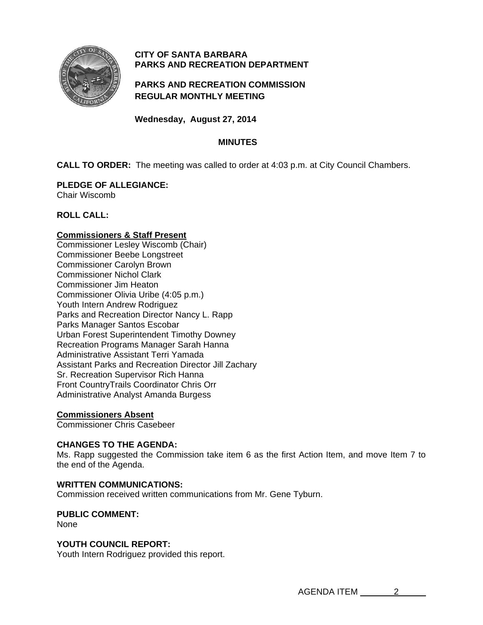

# **CITY OF SANTA BARBARA PARKS AND RECREATION DEPARTMENT**

# **PARKS AND RECREATION COMMISSION REGULAR MONTHLY MEETING**

**Wednesday, August 27, 2014** 

# **MINUTES**

**CALL TO ORDER:** The meeting was called to order at 4:03 p.m. at City Council Chambers.

# **PLEDGE OF ALLEGIANCE:**

Chair Wiscomb

# **ROLL CALL:**

# **Commissioners & Staff Present**

Commissioner Lesley Wiscomb (Chair) Commissioner Beebe Longstreet Commissioner Carolyn Brown Commissioner Nichol Clark Commissioner Jim Heaton Commissioner Olivia Uribe (4:05 p.m.) Youth Intern Andrew Rodriguez Parks and Recreation Director Nancy L. Rapp Parks Manager Santos Escobar Urban Forest Superintendent Timothy Downey Recreation Programs Manager Sarah Hanna Administrative Assistant Terri Yamada Assistant Parks and Recreation Director Jill Zachary Sr. Recreation Supervisor Rich Hanna Front CountryTrails Coordinator Chris Orr Administrative Analyst Amanda Burgess

# **Commissioners Absent**

Commissioner Chris Casebeer

# **CHANGES TO THE AGENDA:**

Ms. Rapp suggested the Commission take item 6 as the first Action Item, and move Item 7 to the end of the Agenda.

### **WRITTEN COMMUNICATIONS:**

Commission received written communications from Mr. Gene Tyburn.

#### **PUBLIC COMMENT:**  None

### **YOUTH COUNCIL REPORT:**

Youth Intern Rodriguez provided this report.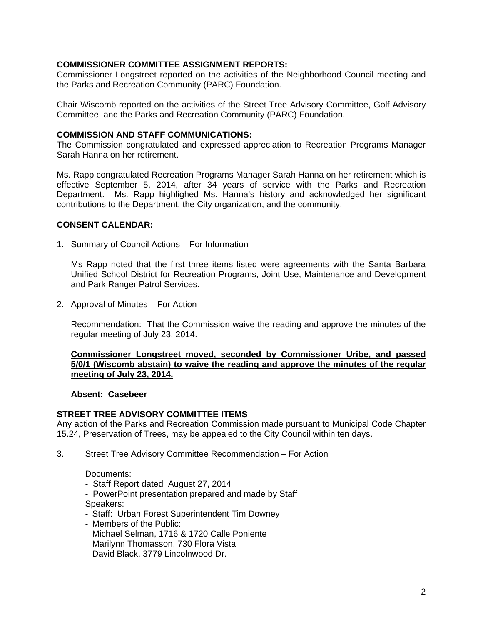#### **COMMISSIONER COMMITTEE ASSIGNMENT REPORTS:**

Commissioner Longstreet reported on the activities of the Neighborhood Council meeting and the Parks and Recreation Community (PARC) Foundation.

Chair Wiscomb reported on the activities of the Street Tree Advisory Committee, Golf Advisory Committee, and the Parks and Recreation Community (PARC) Foundation.

#### **COMMISSION AND STAFF COMMUNICATIONS:**

The Commission congratulated and expressed appreciation to Recreation Programs Manager Sarah Hanna on her retirement.

Ms. Rapp congratulated Recreation Programs Manager Sarah Hanna on her retirement which is effective September 5, 2014, after 34 years of service with the Parks and Recreation Department. Ms. Rapp highlighed Ms. Hanna's history and acknowledged her significant contributions to the Department, the City organization, and the community.

#### **CONSENT CALENDAR:**

1. Summary of Council Actions – For Information

 Ms Rapp noted that the first three items listed were agreements with the Santa Barbara Unified School District for Recreation Programs, Joint Use, Maintenance and Development and Park Ranger Patrol Services.

2. Approval of Minutes – For Action

 Recommendation: That the Commission waive the reading and approve the minutes of the regular meeting of July 23, 2014.

#### **Commissioner Longstreet moved, seconded by Commissioner Uribe, and passed 5/0/1 (Wiscomb abstain) to waive the reading and approve the minutes of the regular meeting of July 23, 2014.**

#### **Absent: Casebeer**

#### **STREET TREE ADVISORY COMMITTEE ITEMS**

Any action of the Parks and Recreation Commission made pursuant to Municipal Code Chapter 15.24, Preservation of Trees, may be appealed to the City Council within ten days.

3. Street Tree Advisory Committee Recommendation – For Action

Documents:

- Staff Report dated August 27, 2014
- PowerPoint presentation prepared and made by Staff Speakers:
- Staff: Urban Forest Superintendent Tim Downey
- Members of the Public: Michael Selman, 1716 & 1720 Calle Poniente Marilynn Thomasson, 730 Flora Vista David Black, 3779 Lincolnwood Dr.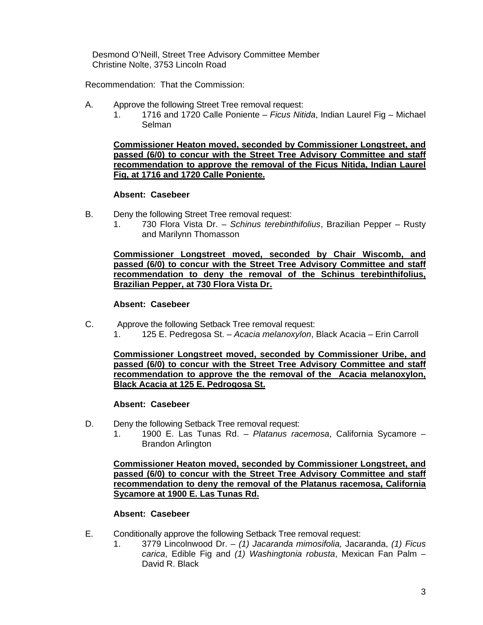Desmond O'Neill, Street Tree Advisory Committee Member Christine Nolte, 3753 Lincoln Road

Recommendation: That the Commission:

- A. Approve the following Street Tree removal request:
	- 1. 1716 and 1720 Calle Poniente *Ficus Nitida*, Indian Laurel Fig Michael Selman

**Commissioner Heaton moved, seconded by Commissioner Longstreet, and passed (6/0) to concur with the Street Tree Advisory Committee and staff recommendation to approve the removal of the Ficus Nitida, Indian Laurel Fig, at 1716 and 1720 Calle Poniente.**

#### **Absent: Casebeer**

- B. Deny the following Street Tree removal request:
	- 1. 730 Flora Vista Dr. *Schinus terebinthifolius*, Brazilian Pepper Rusty and Marilynn Thomasson

**Commissioner Longstreet moved, seconded by Chair Wiscomb, and passed (6/0) to concur with the Street Tree Advisory Committee and staff recommendation to deny the removal of the Schinus terebinthifolius, Brazilian Pepper, at 730 Flora Vista Dr.**

# **Absent: Casebeer**

- C. Approve the following Setback Tree removal request:
	- 1. 125 E. Pedregosa St. *Acacia melanoxylon*, Black Acacia Erin Carroll

**Commissioner Longstreet moved, seconded by Commissioner Uribe, and passed (6/0) to concur with the Street Tree Advisory Committee and staff recommendation to approve the the removal of the Acacia melanoxylon, Black Acacia at 125 E. Pedrogosa St.**

#### **Absent: Casebeer**

- D. Deny the following Setback Tree removal request:
	- 1. 1900 E. Las Tunas Rd. *Platanus racemosa*, California Sycamore Brandon Arlington

**Commissioner Heaton moved, seconded by Commissioner Longstreet, and passed (6/0) to concur with the Street Tree Advisory Committee and staff recommendation to deny the removal of the Platanus racemosa, California Sycamore at 1900 E. Las Tunas Rd.**

### **Absent: Casebeer**

- E. Conditionally approve the following Setback Tree removal request:
	- 1. 3779 Lincolnwood Dr. *(1) Jacaranda mimosifolia,* Jacaranda, *(1) Ficus carica*, Edible Fig and *(1) Washingtonia robusta*, Mexican Fan Palm – David R. Black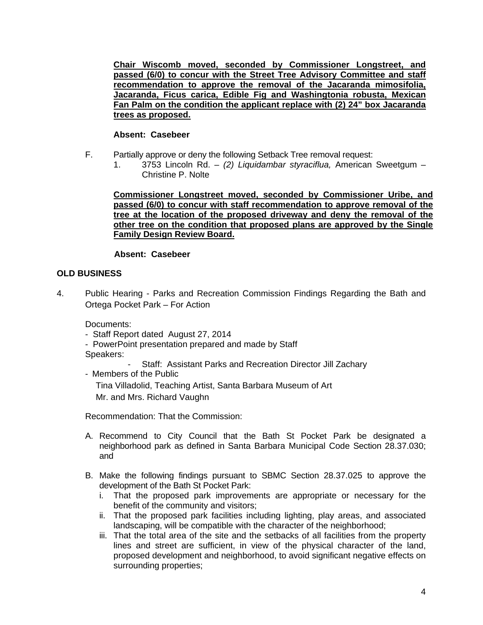**Chair Wiscomb moved, seconded by Commissioner Longstreet, and passed (6/0) to concur with the Street Tree Advisory Committee and staff recommendation to approve the removal of the Jacaranda mimosifolia, Jacaranda, Ficus carica, Edible Fig and Washingtonia robusta, Mexican Fan Palm on the condition the applicant replace with (2) 24" box Jacaranda trees as proposed.**

### **Absent: Casebeer**

- F. Partially approve or deny the following Setback Tree removal request:
	- 1. 3753 Lincoln Rd. *(2) Liquidambar styraciflua,* American Sweetgum Christine P. Nolte

**Commissioner Longstreet moved, seconded by Commissioner Uribe, and passed (6/0) to concur with staff recommendation to approve removal of the tree at the location of the proposed driveway and deny the removal of the other tree on the condition that proposed plans are approved by the Single Family Design Review Board.**

### **Absent: Casebeer**

#### **OLD BUSINESS**

4. Public Hearing - Parks and Recreation Commission Findings Regarding the Bath and Ortega Pocket Park – For Action

Documents:

- Staff Report dated August 27, 2014
- PowerPoint presentation prepared and made by Staff Speakers:
	- Staff: Assistant Parks and Recreation Director Jill Zachary
- Members of the Public

Tina Villadolid, Teaching Artist, Santa Barbara Museum of Art Mr. and Mrs. Richard Vaughn

Recommendation: That the Commission:

- A. Recommend to City Council that the Bath St Pocket Park be designated a neighborhood park as defined in Santa Barbara Municipal Code Section 28.37.030; and
- B. Make the following findings pursuant to SBMC Section 28.37.025 to approve the development of the Bath St Pocket Park:
	- i. That the proposed park improvements are appropriate or necessary for the benefit of the community and visitors;
	- ii. That the proposed park facilities including lighting, play areas, and associated landscaping, will be compatible with the character of the neighborhood;
	- iii. That the total area of the site and the setbacks of all facilities from the property lines and street are sufficient, in view of the physical character of the land, proposed development and neighborhood, to avoid significant negative effects on surrounding properties;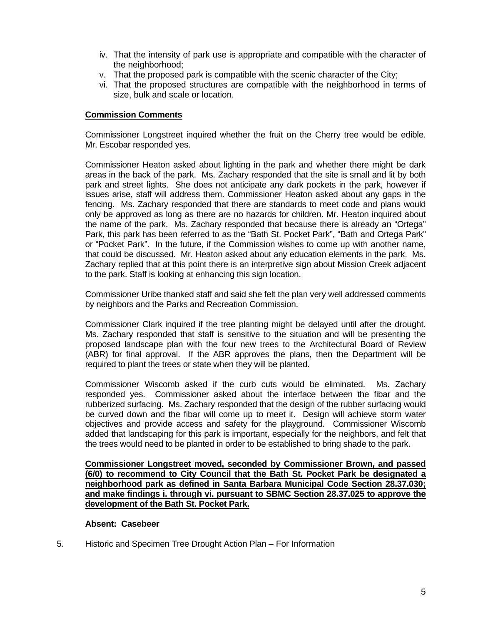- iv. That the intensity of park use is appropriate and compatible with the character of the neighborhood;
- v. That the proposed park is compatible with the scenic character of the City;
- vi. That the proposed structures are compatible with the neighborhood in terms of size, bulk and scale or location.

#### **Commission Comments**

Commissioner Longstreet inquired whether the fruit on the Cherry tree would be edible. Mr. Escobar responded yes.

Commissioner Heaton asked about lighting in the park and whether there might be dark areas in the back of the park. Ms. Zachary responded that the site is small and lit by both park and street lights. She does not anticipate any dark pockets in the park, however if issues arise, staff will address them. Commissioner Heaton asked about any gaps in the fencing. Ms. Zachary responded that there are standards to meet code and plans would only be approved as long as there are no hazards for children. Mr. Heaton inquired about the name of the park. Ms. Zachary responded that because there is already an "Ortega" Park, this park has been referred to as the "Bath St. Pocket Park", "Bath and Ortega Park" or "Pocket Park". In the future, if the Commission wishes to come up with another name, that could be discussed. Mr. Heaton asked about any education elements in the park. Ms. Zachary replied that at this point there is an interpretive sign about Mission Creek adjacent to the park. Staff is looking at enhancing this sign location.

Commissioner Uribe thanked staff and said she felt the plan very well addressed comments by neighbors and the Parks and Recreation Commission.

Commissioner Clark inquired if the tree planting might be delayed until after the drought. Ms. Zachary responded that staff is sensitive to the situation and will be presenting the proposed landscape plan with the four new trees to the Architectural Board of Review (ABR) for final approval. If the ABR approves the plans, then the Department will be required to plant the trees or state when they will be planted.

Commissioner Wiscomb asked if the curb cuts would be eliminated. Ms. Zachary responded yes. Commissioner asked about the interface between the fibar and the rubberized surfacing. Ms. Zachary responded that the design of the rubber surfacing would be curved down and the fibar will come up to meet it. Design will achieve storm water objectives and provide access and safety for the playground. Commissioner Wiscomb added that landscaping for this park is important, especially for the neighbors, and felt that the trees would need to be planted in order to be established to bring shade to the park.

**Commissioner Longstreet moved, seconded by Commissioner Brown, and passed (6/0) to recommend to City Council that the Bath St. Pocket Park be designated a neighborhood park as defined in Santa Barbara Municipal Code Section 28.37.030; and make findings i. through vi. pursuant to SBMC Section 28.37.025 to approve the development of the Bath St. Pocket Park.**

#### **Absent: Casebeer**

5. Historic and Specimen Tree Drought Action Plan – For Information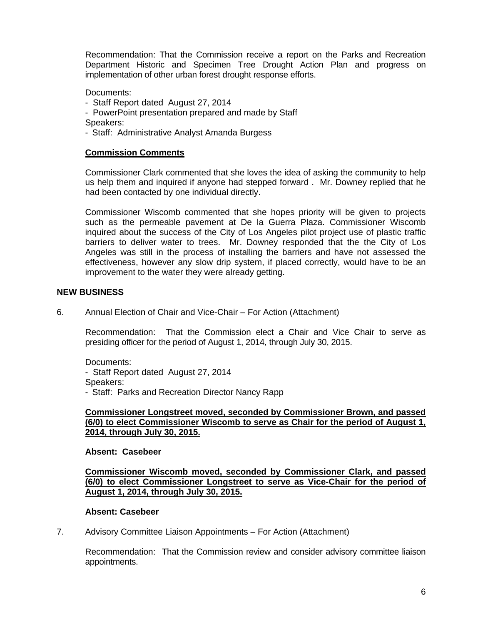Recommendation: That the Commission receive a report on the Parks and Recreation Department Historic and Specimen Tree Drought Action Plan and progress on implementation of other urban forest drought response efforts.

### Documents:

- Staff Report dated August 27, 2014
- PowerPoint presentation prepared and made by Staff

Speakers:

- Staff: Administrative Analyst Amanda Burgess

#### **Commission Comments**

Commissioner Clark commented that she loves the idea of asking the community to help us help them and inquired if anyone had stepped forward . Mr. Downey replied that he had been contacted by one individual directly.

Commissioner Wiscomb commented that she hopes priority will be given to projects such as the permeable pavement at De la Guerra Plaza. Commissioner Wiscomb inquired about the success of the City of Los Angeles pilot project use of plastic traffic barriers to deliver water to trees. Mr. Downey responded that the the City of Los Angeles was still in the process of installing the barriers and have not assessed the effectiveness, however any slow drip system, if placed correctly, would have to be an improvement to the water they were already getting.

#### **NEW BUSINESS**

6. Annual Election of Chair and Vice-Chair – For Action (Attachment)

 Recommendation: That the Commission elect a Chair and Vice Chair to serve as presiding officer for the period of August 1, 2014, through July 30, 2015.

Documents:

- Staff Report dated August 27, 2014 Speakers: - Staff: Parks and Recreation Director Nancy Rapp

**Commissioner Longstreet moved, seconded by Commissioner Brown, and passed (6/0) to elect Commissioner Wiscomb to serve as Chair for the period of August 1, 2014, through July 30, 2015.**

**Absent: Casebeer** 

**Commissioner Wiscomb moved, seconded by Commissioner Clark, and passed (6/0) to elect Commissioner Longstreet to serve as Vice-Chair for the period of August 1, 2014, through July 30, 2015.**

#### **Absent: Casebeer**

7. Advisory Committee Liaison Appointments – For Action (Attachment)

 Recommendation: That the Commission review and consider advisory committee liaison appointments.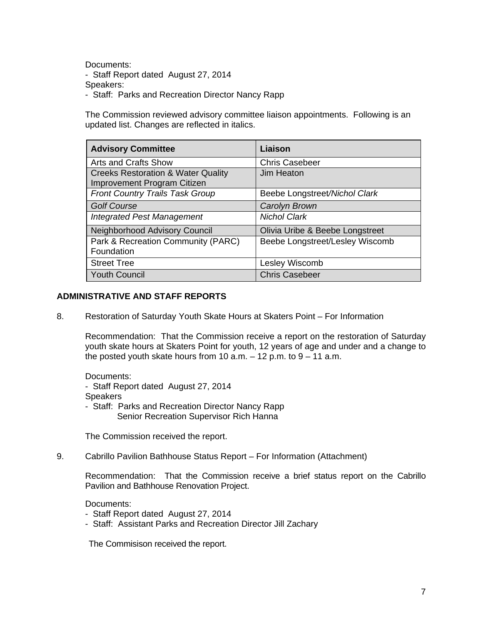Documents:

- Staff Report dated August 27, 2014

Speakers:

- Staff: Parks and Recreation Director Nancy Rapp

The Commission reviewed advisory committee liaison appointments. Following is an updated list. Changes are reflected in italics.

| <b>Advisory Committee</b>                                                    | Liaison                         |
|------------------------------------------------------------------------------|---------------------------------|
| <b>Arts and Crafts Show</b>                                                  | <b>Chris Casebeer</b>           |
| <b>Creeks Restoration &amp; Water Quality</b><br>Improvement Program Citizen | Jim Heaton                      |
| <b>Front Country Trails Task Group</b>                                       | Beebe Longstreet/Nichol Clark   |
| <b>Golf Course</b>                                                           | Carolyn Brown                   |
| <b>Integrated Pest Management</b>                                            | <b>Nichol Clark</b>             |
| Neighborhood Advisory Council                                                | Olivia Uribe & Beebe Longstreet |
| Park & Recreation Community (PARC)<br>Foundation                             | Beebe Longstreet/Lesley Wiscomb |
| <b>Street Tree</b>                                                           | Lesley Wiscomb                  |
| <b>Youth Council</b>                                                         | <b>Chris Casebeer</b>           |

### **ADMINISTRATIVE AND STAFF REPORTS**

8. Restoration of Saturday Youth Skate Hours at Skaters Point – For Information

 Recommendation: That the Commission receive a report on the restoration of Saturday youth skate hours at Skaters Point for youth, 12 years of age and under and a change to the posted youth skate hours from  $10$  a.m.  $-12$  p.m. to  $9 - 11$  a.m.

Documents: - Staff Report dated August 27, 2014 **Speakers**  - Staff: Parks and Recreation Director Nancy Rapp Senior Recreation Supervisor Rich Hanna

The Commission received the report.

9. Cabrillo Pavilion Bathhouse Status Report – For Information (Attachment)

Recommendation: That the Commission receive a brief status report on the Cabrillo Pavilion and Bathhouse Renovation Project.

Documents:

- Staff Report dated August 27, 2014
- Staff: Assistant Parks and Recreation Director Jill Zachary

The Commisison received the report.